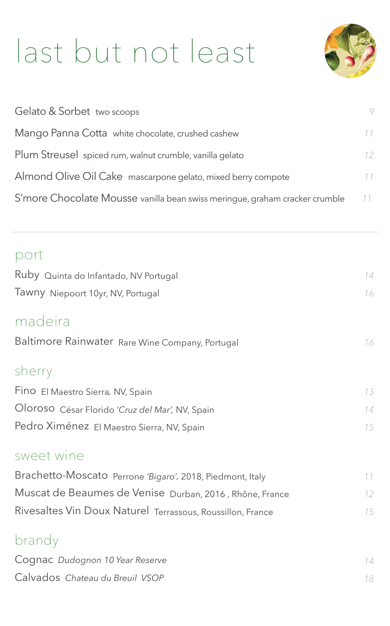# last but not least



| Gelato & Sorbet two scoops                                                  | 9  |
|-----------------------------------------------------------------------------|----|
| Mango Panna Cotta white chocolate, crushed cashew                           | 11 |
| Plum Streusel spiced rum, walnut crumble, vanilla gelato                    | 12 |
| Almond Olive Oil Cake mascarpone gelato, mixed berry compote                | 11 |
| S'more Chocolate Mousse vanilla bean swiss meringue, graham cracker crumble | 11 |

| port                                                       |                 |
|------------------------------------------------------------|-----------------|
| Ruby Quinta do Infantado, NV Portugal                      | 14              |
| Tawny Niepoort 10yr, NV, Portugal                          | 16              |
| madeira                                                    |                 |
| Baltimore Rainwater Rare Wine Company, Portugal            | 16              |
| sherry                                                     |                 |
| Fino El Maestro Sierra, NV, Spain                          | 13              |
| Oloroso César Florido 'Cruz del Mar', NV, Spain            | 14              |
| Pedro Ximénez El Maestro Sierra, NV, Spain                 | 15              |
| sweet wine                                                 |                 |
| Brachetto-Moscato Perrone 'Bigaro', 2018, Piedmont, Italy  | 11              |
| Muscat de Beaumes de Venise Durban, 2016, Rhône, France    | 12 <sup>°</sup> |
| Rivesaltes Vin Doux Naturel Terrassous, Roussillon, France | 15              |
| brandy                                                     |                 |
| Cognac Dudognon 10 Year Reserve                            | 14              |
| Calvados Chateau du Breuil VSOP                            | 18              |